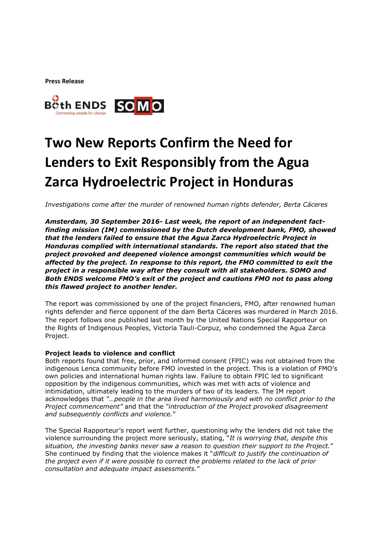**Press Release**



## **Two New Reports Confirm the Need for Lenders to Exit Responsibly from the Agua Zarca Hydroelectric Project in Honduras**

*Investigations come after the murder of renowned human rights defender, Berta Cáceres*

*Amsterdam, 30 September 2016- Last week, the report of an independent factfinding mission (IM) commissioned by the Dutch development bank, FMO, showed that the lenders failed to ensure that the Agua Zarca Hydroelectric Project in Honduras complied with international standards. The report also stated that the project provoked and deepened violence amongst communities which would be affected by the project. In response to this report, the FMO committed to exit the project in a responsible way after they consult with all stakeholders. SOMO and Both ENDS welcome FMO's exit of the project and cautions FMO not to pass along this flawed project to another lender.*

The report was commissioned by one of the project financiers, FMO, after renowned human rights defender and fierce opponent of the dam Berta Cáceres was murdered in March 2016. The report follows one published last month by the United Nations Special Rapporteur on the Rights of Indigenous Peoples, Victoria Tauli-Corpuz, who condemned the Agua Zarca Project.

## Project leads to violence and conflict

Both reports found that free, prior, and informed consent (FPIC) was not obtained from the indigenous Lenca community before FMO invested in the project. This is a violation of FMO's own policies and international human rights law. Failure to obtain FPIC led to significant opposition by the indigenous communities, which was met with acts of violence and intimidation, ultimately leading to the murders of two of its leaders. The IM report acknowledges that *"…people in the area lived harmoniously and with no conflict prior to the Project commencement"* and that the *"introduction of the Project provoked disagreement and subsequently conflicts and violence.*"

The Special Rapporteur's report went further, questioning why the lenders did not take the violence surrounding the project more seriously, stating, "*It is worrying that, despite this situation, the investing banks never saw a reason to question their support to the Project.*" She continued by finding that the violence makes it "*difficult to justify the continuation of the project even if it were possible to correct the problems related to the lack of prior consultation and adequate impact assessments.*"